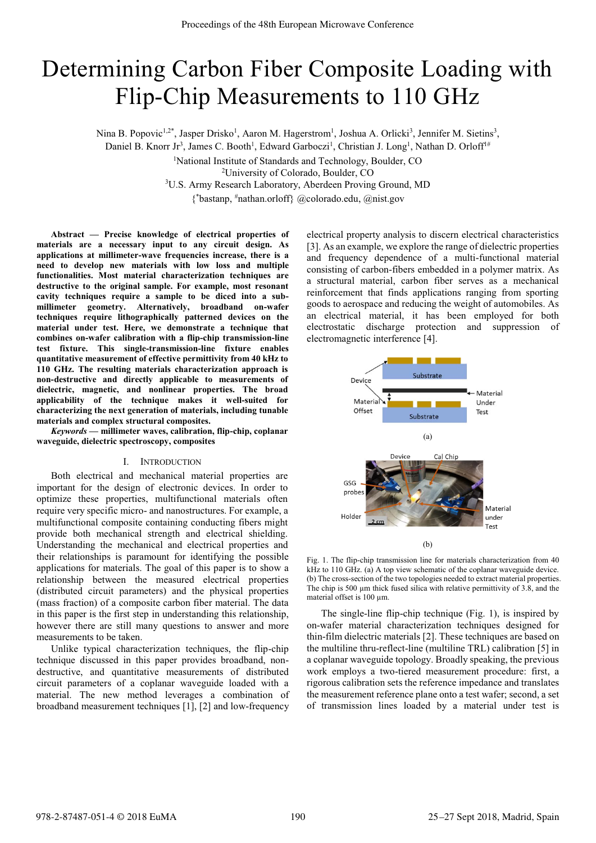# Determining Carbon Fiber Composite Loading with Flip-Chip Measurements to 110 GHz

Nina B. Popovic<sup>1,2\*</sup>, Jasper Drisko<sup>1</sup>, Aaron M. Hagerstrom<sup>1</sup>, Joshua A. Orlicki<sup>3</sup>, Jennifer M. Sietins<sup>3</sup>,

Daniel B. Knorr Jr<sup>3</sup>, James C. Booth<sup>1</sup>, Edward Garboczi<sup>1</sup>, Christian J. Long<sup>1</sup>, Nathan D. Orloff<sup>1#</sup>

<sup>1</sup>National Institute of Standards and Technology, Boulder, CO<sup>2</sup>Liniversity of Colorado, Boulder, CO<sup>2</sup>

<sup>2</sup> University of Colorado, Boulder, CO<br><sup>3</sup>U.S. Army Research Laboratory, Aberdeen Proving Ground, MD

{\* bastanp, # nathan.orloff} @colorado.edu, @nist.gov

**Abstract — Precise knowledge of electrical properties of materials are a necessary input to any circuit design. As applications at millimeter-wave frequencies increase, there is a need to develop new materials with low loss and multiple functionalities. Most material characterization techniques are destructive to the original sample. For example, most resonant cavity techniques require a sample to be diced into a submillimeter geometry. Alternatively, broadband on-wafer techniques require lithographically patterned devices on the material under test. Here, we demonstrate a technique that combines on-wafer calibration with a flip-chip transmission-line test fixture. This single-transmission-line fixture enables quantitative measurement of effective permittivity from 40 kHz to 110 GHz. The resulting materials characterization approach is non-destructive and directly applicable to measurements of dielectric, magnetic, and nonlinear properties. The broad applicability of the technique makes it well-suited for characterizing the next generation of materials, including tunable materials and complex structural composites.** 

*Keywords* **— millimeter waves, calibration, flip-chip, coplanar waveguide, dielectric spectroscopy, composites** 

## I. INTRODUCTION

Both electrical and mechanical material properties are important for the design of electronic devices. In order to optimize these properties, multifunctional materials often require very specific micro- and nanostructures. For example, a multifunctional composite containing conducting fibers might provide both mechanical strength and electrical shielding. Understanding the mechanical and electrical properties and their relationships is paramount for identifying the possible applications for materials. The goal of this paper is to show a relationship between the measured electrical properties (distributed circuit parameters) and the physical properties (mass fraction) of a composite carbon fiber material. The data in this paper is the first step in understanding this relationship, however there are still many questions to answer and more measurements to be taken.

Unlike typical characterization techniques, the flip-chip technique discussed in this paper provides broadband, nondestructive, and quantitative measurements of distributed circuit parameters of a coplanar waveguide loaded with a material. The new method leverages a combination of broadband measurement techniques [1], [2] and low-frequency electrical property analysis to discern electrical characteristics [3]. As an example, we explore the range of dielectric properties and frequency dependence of a multi-functional material consisting of carbon-fibers embedded in a polymer matrix. As a structural material, carbon fiber serves as a mechanical reinforcement that finds applications ranging from sporting goods to aerospace and reducing the weight of automobiles. As an electrical material, it has been employed for both electrostatic discharge protection and suppression of electromagnetic interference [4].



Fig. 1. The flip-chip transmission line for materials characterization from 40 kHz to 110 GHz. (a) A top view schematic of the coplanar waveguide device. (b) The cross-section of the two topologies needed to extract material properties. The chip is 500 μm thick fused silica with relative permittivity of 3.8, and the material offset is 100 μm.

The single-line flip-chip technique (Fig. 1), is inspired by on-wafer material characterization techniques designed for thin-film dielectric materials [2]. These techniques are based on the multiline thru-reflect-line (multiline TRL) calibration [5] in a coplanar waveguide topology. Broadly speaking, the previous work employs a two-tiered measurement procedure: first, a rigorous calibration sets the reference impedance and translates the measurement reference plane onto a test wafer; second, a set of transmission lines loaded by a material under test is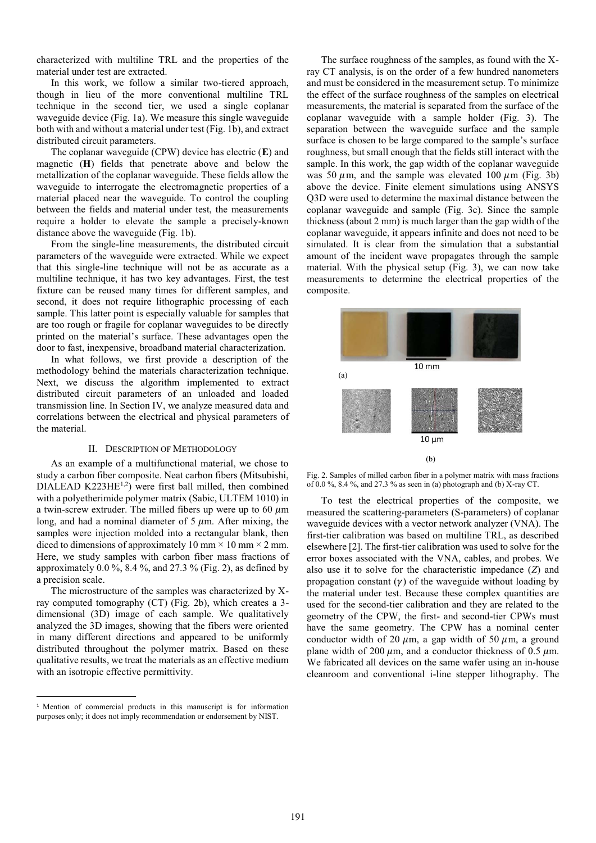characterized with multiline TRL and the properties of the material under test are extracted.

In this work, we follow a similar two-tiered approach, though in lieu of the more conventional multiline TRL technique in the second tier, we used a single coplanar waveguide device (Fig. 1a). We measure this single waveguide both with and without a material under test (Fig. 1b), and extract distributed circuit parameters.

The coplanar waveguide (CPW) device has electric (**E**) and magnetic (**H**) fields that penetrate above and below the metallization of the coplanar waveguide. These fields allow the waveguide to interrogate the electromagnetic properties of a material placed near the waveguide. To control the coupling between the fields and material under test, the measurements require a holder to elevate the sample a precisely-known distance above the waveguide (Fig. 1b).

From the single-line measurements, the distributed circuit parameters of the waveguide were extracted. While we expect that this single-line technique will not be as accurate as a multiline technique, it has two key advantages. First, the test fixture can be reused many times for different samples, and second, it does not require lithographic processing of each sample. This latter point is especially valuable for samples that are too rough or fragile for coplanar waveguides to be directly printed on the material's surface. These advantages open the door to fast, inexpensive, broadband material characterization.

In what follows, we first provide a description of the methodology behind the materials characterization technique. Next, we discuss the algorithm implemented to extract distributed circuit parameters of an unloaded and loaded transmission line. In Section IV, we analyze measured data and correlations between the electrical and physical parameters of the material.

## II. DESCRIPTION OF METHODOLOGY

As an example of a multifunctional material, we chose to study a carbon fiber composite. Neat carbon fibers (Mitsubishi, DIALEAD K223HE<sup>1,2</sup>) were first ball milled, then combined with a polyetherimide polymer matrix (Sabic, ULTEM 1010) in a twin-screw extruder. The milled fibers up were up to 60  $\mu$ m long, and had a nominal diameter of  $5 \mu m$ . After mixing, the samples were injection molded into a rectangular blank, then diced to dimensions of approximately 10 mm  $\times$  10 mm  $\times$  2 mm. Here, we study samples with carbon fiber mass fractions of approximately  $0.0\%$ ,  $8.4\%$ , and  $27.3\%$  (Fig. 2), as defined by a precision scale.

The microstructure of the samples was characterized by Xray computed tomography (CT) (Fig. 2b), which creates a 3 dimensional (3D) image of each sample. We qualitatively analyzed the 3D images, showing that the fibers were oriented in many different directions and appeared to be uniformly distributed throughout the polymer matrix. Based on these qualitative results, we treat the materials as an effective medium with an isotropic effective permittivity.

 $\overline{a}$ 

The surface roughness of the samples, as found with the Xray CT analysis, is on the order of a few hundred nanometers and must be considered in the measurement setup. To minimize the effect of the surface roughness of the samples on electrical measurements, the material is separated from the surface of the coplanar waveguide with a sample holder (Fig. 3). The separation between the waveguide surface and the sample surface is chosen to be large compared to the sample's surface roughness, but small enough that the fields still interact with the sample. In this work, the gap width of the coplanar waveguide was 50  $\mu$ m, and the sample was elevated 100  $\mu$ m (Fig. 3b) above the device. Finite element simulations using ANSYS Q3D were used to determine the maximal distance between the coplanar waveguide and sample (Fig. 3c). Since the sample thickness (about 2 mm) is much larger than the gap width of the coplanar waveguide, it appears infinite and does not need to be simulated. It is clear from the simulation that a substantial amount of the incident wave propagates through the sample material. With the physical setup (Fig. 3), we can now take measurements to determine the electrical properties of the composite.



Fig. 2. Samples of milled carbon fiber in a polymer matrix with mass fractions of 0.0 %, 8.4 %, and 27.3 % as seen in (a) photograph and (b) X-ray CT.

To test the electrical properties of the composite, we measured the scattering-parameters (S-parameters) of coplanar waveguide devices with a vector network analyzer (VNA). The first-tier calibration was based on multiline TRL, as described elsewhere [2]. The first-tier calibration was used to solve for the error boxes associated with the VNA, cables, and probes. We also use it to solve for the characteristic impedance (*Z*) and propagation constant  $(y)$  of the waveguide without loading by the material under test. Because these complex quantities are used for the second-tier calibration and they are related to the geometry of the CPW, the first- and second-tier CPWs must have the same geometry. The CPW has a nominal center conductor width of 20  $\mu$ m, a gap width of 50  $\mu$ m, a ground plane width of 200  $\mu$ m, and a conductor thickness of 0.5  $\mu$ m. We fabricated all devices on the same wafer using an in-house cleanroom and conventional i-line stepper lithography. The

<sup>&</sup>lt;sup>1</sup> Mention of commercial products in this manuscript is for information purposes only; it does not imply recommendation or endorsement by NIST.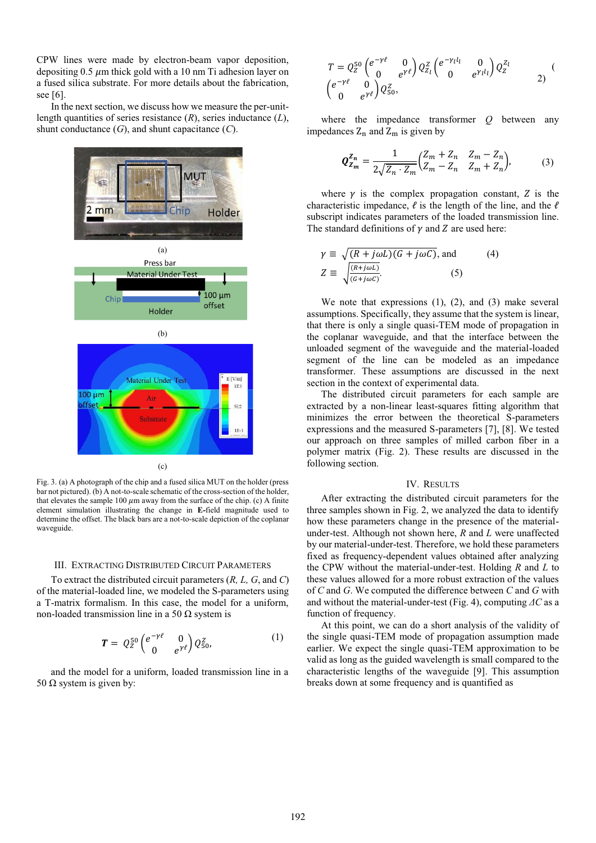CPW lines were made by electron-beam vapor deposition, depositing 0.5  $\mu$ m thick gold with a 10 nm Ti adhesion layer on a fused silica substrate. For more details about the fabrication, see [6].

In the next section, we discuss how we measure the per-unitlength quantities of series resistance (*R*), series inductance (*L*), shunt conductance (*G*), and shunt capacitance (*C*).



Fig. 3. (a) A photograph of the chip and a fused silica MUT on the holder (press bar not pictured). (b) A not-to-scale schematic of the cross-section of the holder, that elevates the sample 100  $\mu$ m away from the surface of the chip. (c) A finite element simulation illustrating the change in **E-**field magnitude used to determine the offset. The black bars are a not-to-scale depiction of the coplanar waveguide.

### III. EXTRACTING DISTRIBUTED CIRCUIT PARAMETERS

To extract the distributed circuit parameters (*R, L, G*, and *C*) of the material-loaded line, we modeled the S-parameters using a T-matrix formalism. In this case, the model for a uniform, non-loaded transmission line in a 50 Ω system is

$$
\boldsymbol{T} = Q_Z^{50} \begin{pmatrix} e^{-\gamma \ell} & 0\\ 0 & e^{\gamma \ell} \end{pmatrix} Q_{50}^Z,\tag{1}
$$

and the model for a uniform, loaded transmission line in a 50 Ω system is given by:

$$
T = Q_2^{50} \begin{pmatrix} e^{-\gamma \ell} & 0 \\ 0 & e^{\gamma \ell} \end{pmatrix} Q_{Z_l}^Z \begin{pmatrix} e^{-\gamma_l l_l} & 0 \\ 0 & e^{\gamma_l l_l} \end{pmatrix} Q_Z^{Z_l}
$$
  

$$
\begin{pmatrix} e^{-\gamma \ell} & 0 \\ 0 & e^{\gamma \ell} \end{pmatrix} Q_{50}^Z,
$$
 (1)

where the impedance transformer *Q* between any impedances  $Z_n$  and  $Z_m$  is given by

$$
Q_{Z_m}^{Z_n} = \frac{1}{2\sqrt{Z_n \cdot Z_m}} \begin{pmatrix} Z_m + Z_n & Z_m - Z_n \ Z_m - Z_n & Z_m + Z_n \end{pmatrix},
$$
(3)

where  $\gamma$  is the complex propagation constant, Z is the characteristic impedance,  $\ell$  is the length of the line, and the  $\ell$ subscript indicates parameters of the loaded transmission line. The standard definitions of  $\gamma$  and  $Z$  are used here:

$$
\gamma \equiv \sqrt{(R + j\omega L)(G + j\omega C)}, \text{ and}
$$
\n
$$
Z \equiv \sqrt{\frac{(R + j\omega L)}{(G + j\omega C)}}.
$$
\n(5)

We note that expressions (1), (2), and (3) make several assumptions. Specifically, they assume that the system is linear, that there is only a single quasi-TEM mode of propagation in the coplanar waveguide, and that the interface between the unloaded segment of the waveguide and the material-loaded segment of the line can be modeled as an impedance transformer. These assumptions are discussed in the next section in the context of experimental data.

The distributed circuit parameters for each sample are extracted by a non-linear least-squares fitting algorithm that minimizes the error between the theoretical S-parameters expressions and the measured S-parameters [7], [8]. We tested our approach on three samples of milled carbon fiber in a polymer matrix (Fig. 2). These results are discussed in the following section.

### IV. RESULTS

After extracting the distributed circuit parameters for the three samples shown in Fig. 2, we analyzed the data to identify how these parameters change in the presence of the materialunder-test. Although not shown here, *R* and *L* were unaffected by our material-under-test. Therefore, we hold these parameters fixed as frequency-dependent values obtained after analyzing the CPW without the material-under-test. Holding *R* and *L* to these values allowed for a more robust extraction of the values of *C* and *G*. We computed the difference between *C* and *G* with and without the material-under-test (Fig. 4), computing *ΔC* as a function of frequency.

At this point, we can do a short analysis of the validity of the single quasi-TEM mode of propagation assumption made earlier. We expect the single quasi-TEM approximation to be valid as long as the guided wavelength is small compared to the characteristic lengths of the waveguide [9]. This assumption breaks down at some frequency and is quantified as